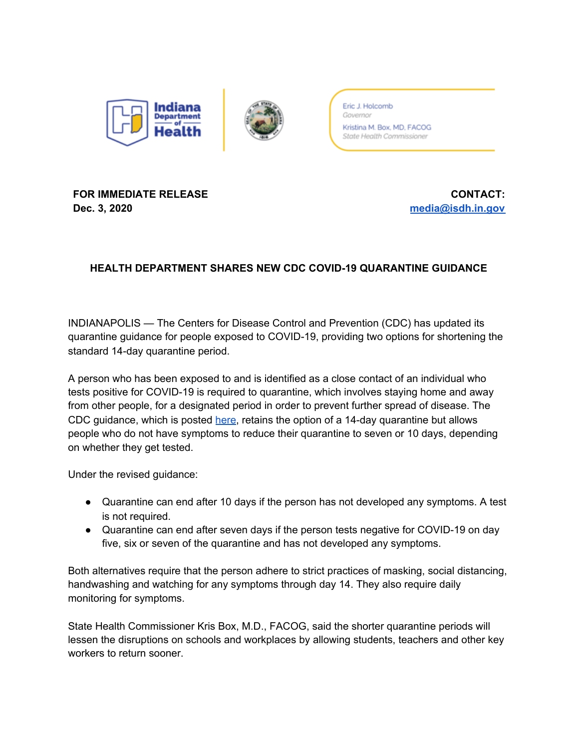

Eric J. Holcomb Governor Kristina M. Box, MD, FACOG State Health Commissioner

## **FOR IMMEDIATE RELEASE Dec. 3, 2020**

**CONTACT: [media@isdh.in.gov](mailto:media@isdh.in.gov)**

## **HEALTH DEPARTMENT SHARES NEW CDC COVID-19 QUARANTINE GUIDANCE**

INDIANAPOLIS — The Centers for Disease Control and Prevention (CDC) has updated its quarantine guidance for people exposed to COVID-19, providing two options for shortening the standard 14-day quarantine period.

A person who has been exposed to and is identified as a close contact of an individual who tests positive for COVID-19 is required to quarantine, which involves staying home and away from other people, for a designated period in order to prevent further spread of disease. The CDC guidance, which is posted [here,](https://www.cdc.gov/coronavirus/2019-ncov/if-you-are-sick/quarantine.html) retains the option of a 14-day quarantine but allows people who do not have symptoms to reduce their quarantine to seven or 10 days, depending on whether they get tested.

Under the revised guidance:

- Quarantine can end after 10 days if the person has not developed any symptoms. A test is not required.
- Quarantine can end after seven days if the person tests negative for COVID-19 on day five, six or seven of the quarantine and has not developed any symptoms.

Both alternatives require that the person adhere to strict practices of masking, social distancing, handwashing and watching for any symptoms through day 14. They also require daily monitoring for symptoms.

State Health Commissioner Kris Box, M.D., FACOG, said the shorter quarantine periods will lessen the disruptions on schools and workplaces by allowing students, teachers and other key workers to return sooner.